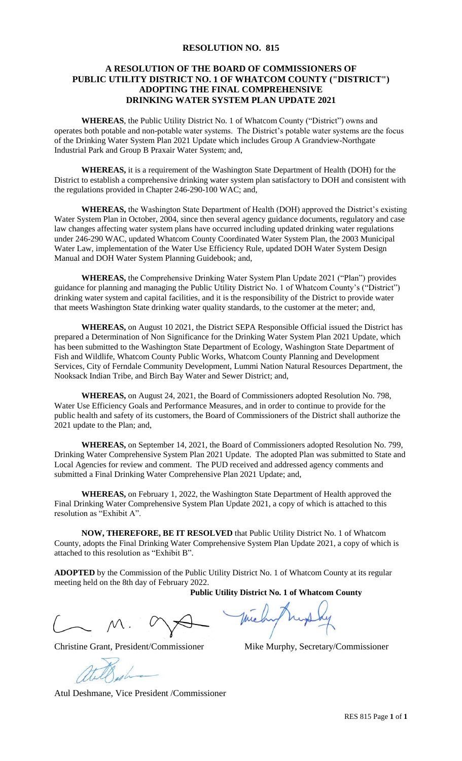### **RESOLUTION NO. 815**

## **A RESOLUTION OF THE BOARD OF COMMISSIONERS OF PUBLIC UTILITY DISTRICT NO. 1 OF WHATCOM COUNTY ("DISTRICT") ADOPTING THE FINAL COMPREHENSIVE DRINKING WATER SYSTEM PLAN UPDATE 2021**

**WHEREAS**, the Public Utility District No. 1 of Whatcom County ("District") owns and operates both potable and non-potable water systems. The District's potable water systems are the focus of the Drinking Water System Plan 2021 Update which includes Group A Grandview-Northgate Industrial Park and Group B Praxair Water System; and,

**WHEREAS,** it is a requirement of the Washington State Department of Health (DOH) for the District to establish a comprehensive drinking water system plan satisfactory to DOH and consistent with the regulations provided in Chapter 246-290-100 WAC; and,

**WHEREAS,** the Washington State Department of Health (DOH) approved the District's existing Water System Plan in October, 2004, since then several agency guidance documents, regulatory and case law changes affecting water system plans have occurred including updated drinking water regulations under 246-290 WAC, updated Whatcom County Coordinated Water System Plan, the 2003 Municipal Water Law, implementation of the Water Use Efficiency Rule, updated DOH Water System Design Manual and DOH Water System Planning Guidebook; and,

**WHEREAS,** the Comprehensive Drinking Water System Plan Update 2021 ("Plan") provides guidance for planning and managing the Public Utility District No. 1 of Whatcom County's ("District") drinking water system and capital facilities, and it is the responsibility of the District to provide water that meets Washington State drinking water quality standards, to the customer at the meter; and,

**WHEREAS,** on August 10 2021, the District SEPA Responsible Official issued the District has prepared a Determination of Non Significance for the Drinking Water System Plan 2021 Update, which has been submitted to the Washington State Department of Ecology, Washington State Department of Fish and Wildlife, Whatcom County Public Works, Whatcom County Planning and Development Services, City of Ferndale Community Development, Lummi Nation Natural Resources Department, the Nooksack Indian Tribe, and Birch Bay Water and Sewer District; and,

**WHEREAS,** on August 24, 2021, the Board of Commissioners adopted Resolution No. 798, Water Use Efficiency Goals and Performance Measures, and in order to continue to provide for the public health and safety of its customers, the Board of Commissioners of the District shall authorize the 2021 update to the Plan; and,

**WHEREAS,** on September 14, 2021, the Board of Commissioners adopted Resolution No. 799, Drinking Water Comprehensive System Plan 2021 Update. The adopted Plan was submitted to State and Local Agencies for review and comment. The PUD received and addressed agency comments and submitted a Final Drinking Water Comprehensive Plan 2021 Update; and,

**WHEREAS,** on February 1, 2022, the Washington State Department of Health approved the Final Drinking Water Comprehensive System Plan Update 2021, a copy of which is attached to this resolution as "Exhibit A".

**NOW, THEREFORE, BE IT RESOLVED** that Public Utility District No. 1 of Whatcom County, adopts the Final Drinking Water Comprehensive System Plan Update 2021, a copy of which is attached to this resolution as "Exhibit B".

**ADOPTED** by the Commission of the Public Utility District No. 1 of Whatcom County at its regular meeting held on the 8th day of February 2022.

**Public Utility District No. 1 of Whatcom County**

Christine Grant, President/Commissioner Mike Murphy, Secretary/Commissioner

Atul Deshmane, Vice President /Commissioner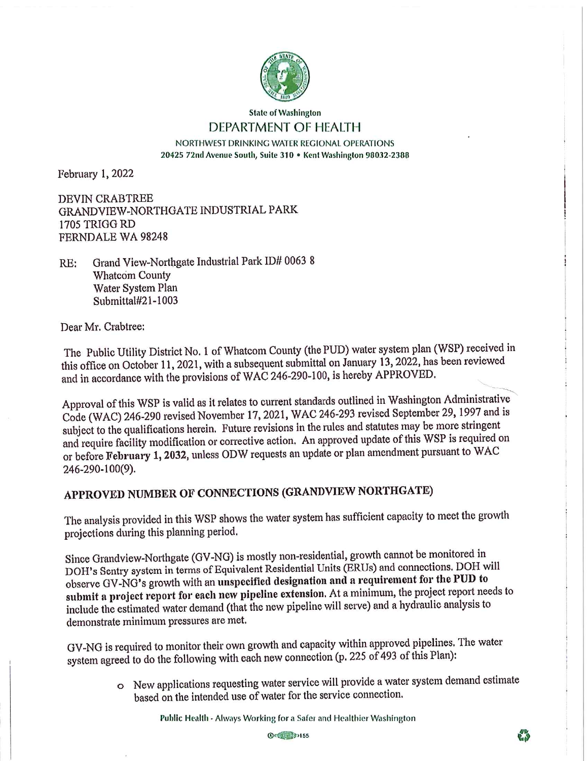

#### **State of Washington** DEPARTMENT OF HEALTH

NORTHWEST DRINKING WATER REGIONAL OPERATIONS 20425 72nd Avenue South, Suite 310 · Kent Washington 98032-2388

February 1, 2022

**DEVIN CRABTREE** GRANDVIEW-NORTHGATE INDUSTRIAL PARK 1705 TRIGG RD FERNDALE WA 98248

Grand View-Northgate Industrial Park ID# 0063 8  $RE:$ **Whatcom County** Water System Plan Submittal#21-1003

Dear Mr. Crabtree:

The Public Utility District No. 1 of Whatcom County (the PUD) water system plan (WSP) received in this office on October 11, 2021, with a subsequent submittal on January 13, 2022, has been reviewed and in accordance with the provisions of WAC 246-290-100, is hereby APPROVED.

Approval of this WSP is valid as it relates to current standards outlined in Washington Administrative Code (WAC) 246-290 revised November 17, 2021, WAC 246-293 revised September 29, 1997 and is subject to the qualifications herein. Future revisions in the rules and statutes may be more stringent and require facility modification or corrective action. An approved update of this WSP is required on or before February 1, 2032, unless ODW requests an update or plan amendment pursuant to WAC 246-290-100(9).

# APPROVED NUMBER OF CONNECTIONS (GRANDVIEW NORTHGATE)

The analysis provided in this WSP shows the water system has sufficient capacity to meet the growth projections during this planning period.

Since Grandview-Northgate (GV-NG) is mostly non-residential, growth cannot be monitored in DOH's Sentry system in terms of Equivalent Residential Units (ERUs) and connections. DOH will observe GV-NG's growth with an unspecified designation and a requirement for the PUD to submit a project report for each new pipeline extension. At a minimum, the project report needs to include the estimated water demand (that the new pipeline will serve) and a hydraulic analysis to demonstrate minimum pressures are met.

GV-NG is required to monitor their own growth and capacity within approved pipelines. The water system agreed to do the following with each new connection (p. 225 of 493 of this Plan):

> o New applications requesting water service will provide a water system demand estimate based on the intended use of water for the service connection.

> > Public Health - Always Working for a Safer and Healthier Washington

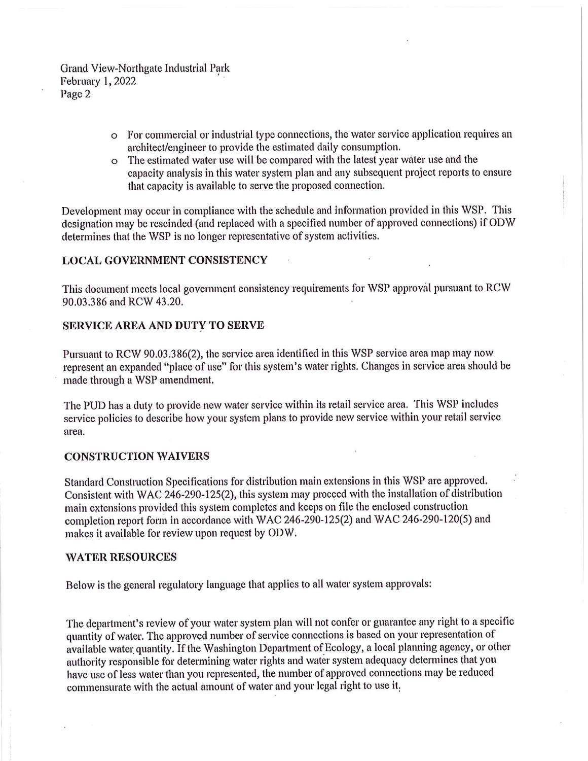Grand View-Northgate Industrial Park **February 1, 2022** Page 2

- o For commercial or industrial type connections, the water service application requires an architect/engineer to provide the estimated daily consumption.
- o The estimated water use will be compared with the latest year water use and the capacity analysis in this water system plan and any subsequent project reports to ensure that capacity is available to serve the proposed connection.

Development may occur in compliance with the schedule and information provided in this WSP. This designation may be rescinded (and replaced with a specified number of approved connections) if ODW determines that the WSP is no longer representative of system activities.

### **LOCAL GOVERNMENT CONSISTENCY**

This document meets local government consistency requirements for WSP approval pursuant to RCW 90.03.386 and RCW 43.20.

## SERVICE AREA AND DUTY TO SERVE

Pursuant to RCW 90.03.386(2), the service area identified in this WSP service area map may now represent an expanded "place of use" for this system's water rights. Changes in service area should be made through a WSP amendment.

The PUD has a duty to provide new water service within its retail service area. This WSP includes service policies to describe how your system plans to provide new service within your retail service area.

#### **CONSTRUCTION WAIVERS**

Standard Construction Specifications for distribution main extensions in this WSP are approved. Consistent with WAC 246-290-125(2), this system may proceed with the installation of distribution main extensions provided this system completes and keeps on file the enclosed construction completion report form in accordance with WAC 246-290-125(2) and WAC 246-290-120(5) and makes it available for review upon request by ODW.

#### **WATER RESOURCES**

Below is the general regulatory language that applies to all water system approvals:

The department's review of your water system plan will not confer or guarantee any right to a specific quantity of water. The approved number of service connections is based on your representation of available water quantity. If the Washington Department of Ecology, a local planning agency, or other authority responsible for determining water rights and water system adequacy determines that you have use of less water than you represented, the number of approved connections may be reduced commensurate with the actual amount of water and your legal right to use it.